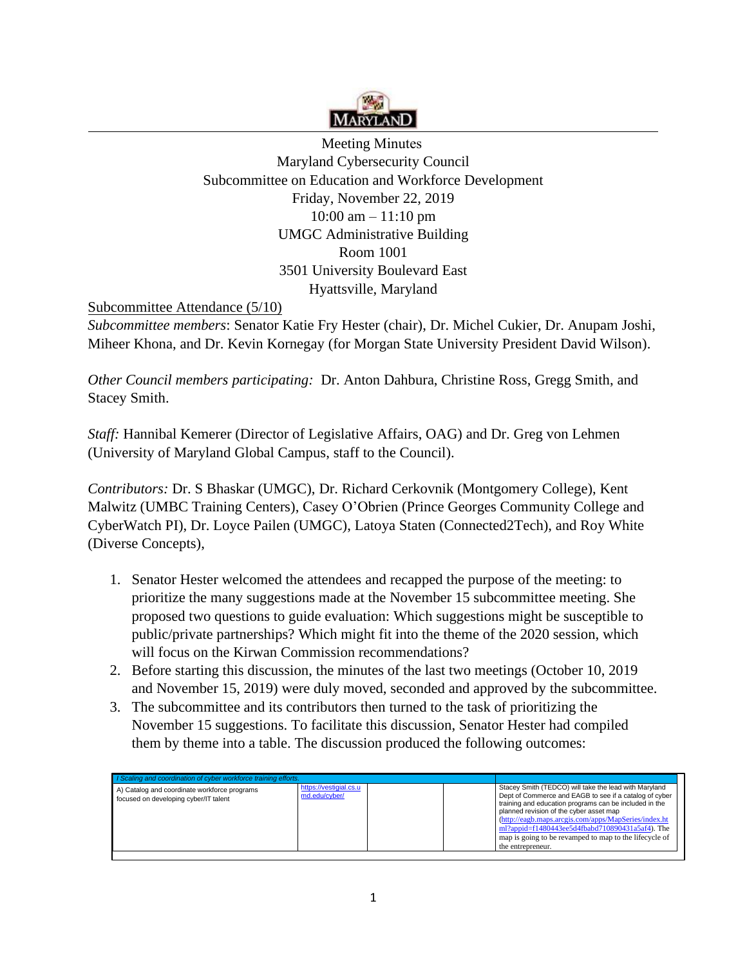

 Meeting MinutesMaryland Cybersecurity Council Subcommittee on Education and Workforce Development Friday, November 22, 2019 10:00 am – 11:10 pm UMGC Administrative Building Room 1001 3501 University Boulevard East Hyattsville, Maryland

Subcommittee Attendance (5/10)

*Subcommittee members*: Senator Katie Fry Hester (chair), Dr. Michel Cukier, Dr. Anupam Joshi, Miheer Khona, and Dr. Kevin Kornegay (for Morgan State University President David Wilson).

*Other Council members participating:* Dr. Anton Dahbura, Christine Ross, Gregg Smith, and Stacey Smith.

*Staff:* Hannibal Kemerer (Director of Legislative Affairs, OAG) and Dr. Greg von Lehmen (University of Maryland Global Campus, staff to the Council).

*Contributors:* Dr. S Bhaskar (UMGC), Dr. Richard Cerkovnik (Montgomery College), Kent Malwitz (UMBC Training Centers), Casey O'Obrien (Prince Georges Community College and CyberWatch PI), Dr. Loyce Pailen (UMGC), Latoya Staten (Connected2Tech), and Roy White (Diverse Concepts),

- 1.Senator Hester welcomed the attendees and recapped the purpose of the meeting: to prioritize the many suggestions made at the November 15 subcommittee meeting. She proposed two questions to guide evaluation: Which suggestions might be susceptible to public/private partnerships? Which might fit into the theme of the 2020 session, which will focus on the Kirwan Commission recommendations?
- 2.Before starting this discussion, the minutes of the last two meetings (October 10, 2019 and November 15, 2019) were duly moved, seconded and approved by the subcommittee.
- 3.The subcommittee and its contributors then turned to the task of prioritizing the November 15 suggestions. To facilitate this discussion, Senator Hester had compiled them by theme into a table. The discussion produced the following outcomes:

| https://vestigial.cs.u<br>A) Catalog and coordinate workforce programs<br>md.edu/cvber/<br>focused on developing cyber/IT talent | Stacey Smith (TEDCO) will take the lead with Maryland                                                                                                                                                                                                                                                                            |
|----------------------------------------------------------------------------------------------------------------------------------|----------------------------------------------------------------------------------------------------------------------------------------------------------------------------------------------------------------------------------------------------------------------------------------------------------------------------------|
| the entrepreneur.                                                                                                                | Dept of Commerce and EAGB to see if a catalog of cyber<br>training and education programs can be included in the<br>planned revision of the cyber asset map<br>(http://eagb.maps.arcgis.com/apps/MapSeries/index.ht<br>ml?appid=f1480443ee5d4fbabd710890431a5af4). The<br>map is going to be revamped to map to the lifecycle of |